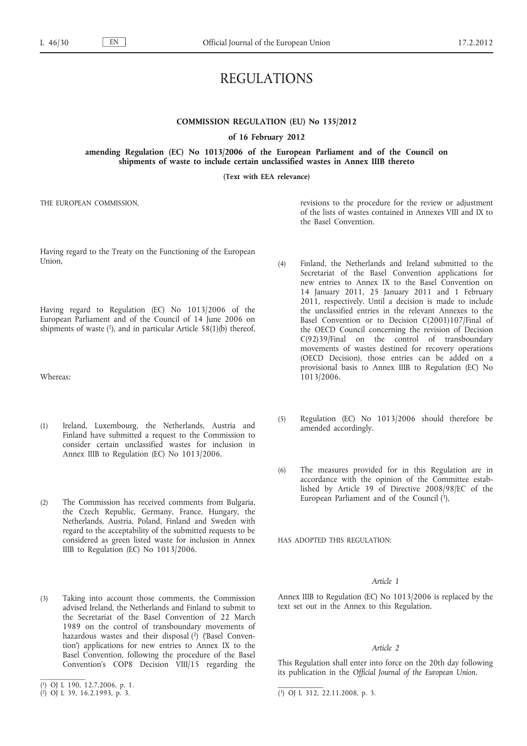# REGULATIONS

# **COMMISSION REGULATION (EU) No 135/2012**

**of 16 February 2012**

**amending Regulation (EC) No 1013/2006 of the European Parliament and of the Council on shipments of waste to include certain unclassified wastes in Annex IIIB thereto**

**(Text with EEA relevance)**

THE EUROPEAN COMMISSION,

Having regard to the Treaty on the Functioning of the European Union,

Having regard to Regulation (EC) No 1013/2006 of the European Parliament and of the Council of 14 June 2006 on shipments of waste  $(1)$ , and in particular Article 58 $(1)(b)$  thereof,

Whereas:

- (1) Ireland, Luxembourg, the Netherlands, Austria and Finland have submitted a request to the Commission to consider certain unclassified wastes for inclusion in Annex IIIB to Regulation (EC) No 1013/2006.
- (2) The Commission has received comments from Bulgaria, the Czech Republic, Germany, France, Hungary, the Netherlands, Austria, Poland, Finland and Sweden with regard to the acceptability of the submitted requests to be considered as green listed waste for inclusion in Annex IIIB to Regulation (EC) No 1013/2006.
- (3) Taking into account those comments, the Commission advised Ireland, the Netherlands and Finland to submit to the Secretariat of the Basel Convention of 22 March 1989 on the control of transboundary movements of hazardous wastes and their disposal (2) ('Basel Convention') applications for new entries to Annex IX to the Basel Convention, following the procedure of the Basel Convention's COP8 Decision VIII/15 regarding the

revisions to the procedure for the review or adjustment of the lists of wastes contained in Annexes VIII and IX to the Basel Convention.

- (4) Finland, the Netherlands and Ireland submitted to the Secretariat of the Basel Convention applications for new entries to Annex IX to the Basel Convention on 14 January 2011, 25 January 2011 and 1 February 2011, respectively. Until a decision is made to include the unclassified entries in the relevant Annexes to the Basel Convention or to Decision C(2001)107/Final of the OECD Council concerning the revision of Decision C(92)39/Final on the control of transboundary movements of wastes destined for recovery operations (OECD Decision), those entries can be added on a provisional basis to Annex IIIB to Regulation (EC) No 1013/2006.
- (5) Regulation (EC) No 1013/2006 should therefore be amended accordingly.
- (6) The measures provided for in this Regulation are in accordance with the opinion of the Committee established by Article 39 of Directive 2008/98/EC of the European Parliament and of the Council (3),

HAS ADOPTED THIS REGULATION:

## *Article 1*

Annex IIIB to Regulation (EC) No 1013/2006 is replaced by the text set out in the Annex to this Regulation.

## *Article 2*

This Regulation shall enter into force on the 20th day following its publication in the *Official Journal of the European Union*.

<sup>(</sup> 1) OJ L 190, 12.7.2006, p. 1.

 $(2)$  OJ L 39, 16.2.1993, p. 3.

 $(3)$  OJ L 312, 22.11.2008, p. 3.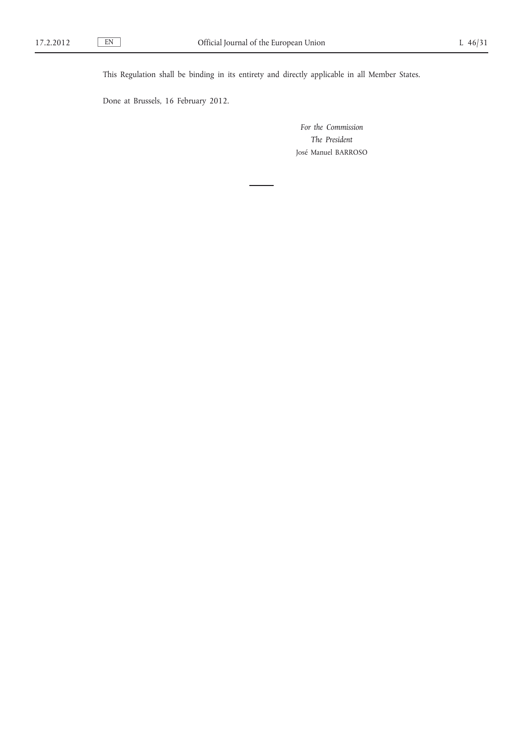This Regulation shall be binding in its entirety and directly applicable in all Member States.

Done at Brussels, 16 February 2012.

*For the Commission The President* José Manuel BARROSO